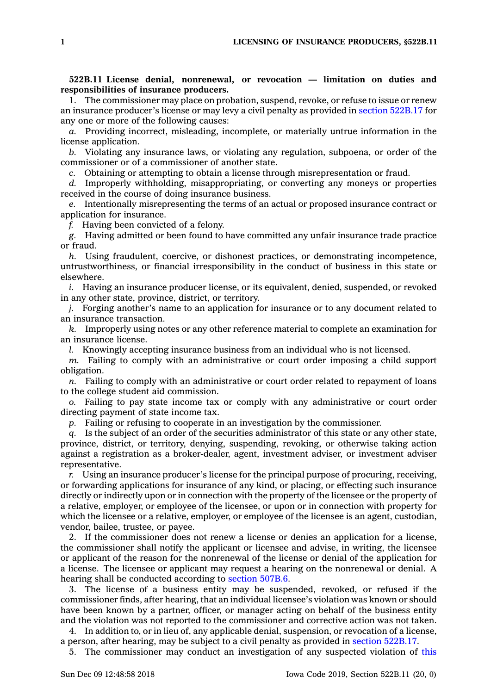## **522B.11 License denial, nonrenewal, or revocation — limitation on duties and responsibilities of insurance producers.**

1. The commissioner may place on probation, suspend, revoke, or refuse to issue or renew an insurance producer's license or may levy <sup>a</sup> civil penalty as provided in section [522B.17](https://www.legis.iowa.gov/docs/code/522B.17.pdf) for any one or more of the following causes:

*a.* Providing incorrect, misleading, incomplete, or materially untrue information in the license application.

*b.* Violating any insurance laws, or violating any regulation, subpoena, or order of the commissioner or of <sup>a</sup> commissioner of another state.

*c.* Obtaining or attempting to obtain <sup>a</sup> license through misrepresentation or fraud.

*d.* Improperly withholding, misappropriating, or converting any moneys or properties received in the course of doing insurance business.

*e.* Intentionally misrepresenting the terms of an actual or proposed insurance contract or application for insurance.

*f.* Having been convicted of <sup>a</sup> felony.

*g.* Having admitted or been found to have committed any unfair insurance trade practice or fraud.

*h.* Using fraudulent, coercive, or dishonest practices, or demonstrating incompetence, untrustworthiness, or financial irresponsibility in the conduct of business in this state or elsewhere.

*i.* Having an insurance producer license, or its equivalent, denied, suspended, or revoked in any other state, province, district, or territory.

*j.* Forging another's name to an application for insurance or to any document related to an insurance transaction.

*k.* Improperly using notes or any other reference material to complete an examination for an insurance license.

*l.* Knowingly accepting insurance business from an individual who is not licensed.

*m.* Failing to comply with an administrative or court order imposing <sup>a</sup> child support obligation.

*n.* Failing to comply with an administrative or court order related to repayment of loans to the college student aid commission.

*o.* Failing to pay state income tax or comply with any administrative or court order directing payment of state income tax.

*p.* Failing or refusing to cooperate in an investigation by the commissioner.

*q.* Is the subject of an order of the securities administrator of this state or any other state, province, district, or territory, denying, suspending, revoking, or otherwise taking action against <sup>a</sup> registration as <sup>a</sup> broker-dealer, agent, investment adviser, or investment adviser representative.

*r.* Using an insurance producer's license for the principal purpose of procuring, receiving, or forwarding applications for insurance of any kind, or placing, or effecting such insurance directly or indirectly upon or in connection with the property of the licensee or the property of <sup>a</sup> relative, employer, or employee of the licensee, or upon or in connection with property for which the licensee or <sup>a</sup> relative, employer, or employee of the licensee is an agent, custodian, vendor, bailee, trustee, or payee.

2. If the commissioner does not renew <sup>a</sup> license or denies an application for <sup>a</sup> license, the commissioner shall notify the applicant or licensee and advise, in writing, the licensee or applicant of the reason for the nonrenewal of the license or denial of the application for <sup>a</sup> license. The licensee or applicant may request <sup>a</sup> hearing on the nonrenewal or denial. A hearing shall be conducted according to [section](https://www.legis.iowa.gov/docs/code/507B.6.pdf) 507B.6.

3. The license of <sup>a</sup> business entity may be suspended, revoked, or refused if the commissioner finds, after hearing, that an individual licensee's violation was known or should have been known by <sup>a</sup> partner, officer, or manager acting on behalf of the business entity and the violation was not reported to the commissioner and corrective action was not taken.

4. In addition to, or in lieu of, any applicable denial, suspension, or revocation of <sup>a</sup> license, <sup>a</sup> person, after hearing, may be subject to <sup>a</sup> civil penalty as provided in section [522B.17](https://www.legis.iowa.gov/docs/code/522B.17.pdf).

5. The commissioner may conduct an investigation of any suspected violation of [this](https://www.legis.iowa.gov/docs/code//522B.pdf)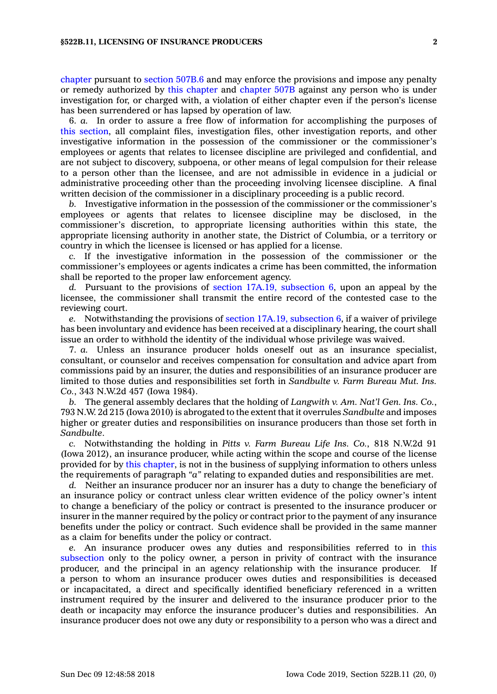[chapter](https://www.legis.iowa.gov/docs/code//522B.pdf) pursuant to [section](https://www.legis.iowa.gov/docs/code/507B.6.pdf) 507B.6 and may enforce the provisions and impose any penalty or remedy authorized by this [chapter](https://www.legis.iowa.gov/docs/code//522B.pdf) and [chapter](https://www.legis.iowa.gov/docs/code//507B.pdf) 507B against any person who is under investigation for, or charged with, <sup>a</sup> violation of either chapter even if the person's license has been surrendered or has lapsed by operation of law.

6. *a.* In order to assure <sup>a</sup> free flow of information for accomplishing the purposes of this [section](https://www.legis.iowa.gov/docs/code/522B.11.pdf), all complaint files, investigation files, other investigation reports, and other investigative information in the possession of the commissioner or the commissioner's employees or agents that relates to licensee discipline are privileged and confidential, and are not subject to discovery, subpoena, or other means of legal compulsion for their release to <sup>a</sup> person other than the licensee, and are not admissible in evidence in <sup>a</sup> judicial or administrative proceeding other than the proceeding involving licensee discipline. A final written decision of the commissioner in <sup>a</sup> disciplinary proceeding is <sup>a</sup> public record.

*b.* Investigative information in the possession of the commissioner or the commissioner's employees or agents that relates to licensee discipline may be disclosed, in the commissioner's discretion, to appropriate licensing authorities within this state, the appropriate licensing authority in another state, the District of Columbia, or <sup>a</sup> territory or country in which the licensee is licensed or has applied for <sup>a</sup> license.

*c.* If the investigative information in the possession of the commissioner or the commissioner's employees or agents indicates <sup>a</sup> crime has been committed, the information shall be reported to the proper law enforcement agency.

*d.* Pursuant to the provisions of section 17A.19, [subsection](https://www.legis.iowa.gov/docs/code/17A.19.pdf) 6, upon an appeal by the licensee, the commissioner shall transmit the entire record of the contested case to the reviewing court.

*e.* Notwithstanding the provisions of section 17A.19, [subsection](https://www.legis.iowa.gov/docs/code/17A.19.pdf) 6, if <sup>a</sup> waiver of privilege has been involuntary and evidence has been received at <sup>a</sup> disciplinary hearing, the court shall issue an order to withhold the identity of the individual whose privilege was waived.

7. *a.* Unless an insurance producer holds oneself out as an insurance specialist, consultant, or counselor and receives compensation for consultation and advice apart from commissions paid by an insurer, the duties and responsibilities of an insurance producer are limited to those duties and responsibilities set forth in *Sandbulte v. Farm Bureau Mut. Ins. Co.*, 343 N.W.2d 457 (Iowa 1984).

*b.* The general assembly declares that the holding of *Langwith v. Am. Nat'l Gen. Ins. Co.*, 793 N.W. 2d 215 (Iowa 2010) is abrogated to the extent that it overrules *Sandbulte* and imposes higher or greater duties and responsibilities on insurance producers than those set forth in *Sandbulte*.

*c.* Notwithstanding the holding in *Pitts v. Farm Bureau Life Ins. Co.*, 818 N.W.2d 91 (Iowa 2012), an insurance producer, while acting within the scope and course of the license provided for by this [chapter](https://www.legis.iowa.gov/docs/code//522B.pdf), is not in the business of supplying information to others unless the requirements of paragraph *"a"* relating to expanded duties and responsibilities are met.

*d.* Neither an insurance producer nor an insurer has <sup>a</sup> duty to change the beneficiary of an insurance policy or contract unless clear written evidence of the policy owner's intent to change <sup>a</sup> beneficiary of the policy or contract is presented to the insurance producer or insurer in the manner required by the policy or contract prior to the payment of any insurance benefits under the policy or contract. Such evidence shall be provided in the same manner as <sup>a</sup> claim for benefits under the policy or contract.

*e.* An insurance producer owes any duties and responsibilities referred to in [this](https://www.legis.iowa.gov/docs/code/522B.11.pdf) [subsection](https://www.legis.iowa.gov/docs/code/522B.11.pdf) only to the policy owner, <sup>a</sup> person in privity of contract with the insurance producer, and the principal in an agency relationship with the insurance producer. If <sup>a</sup> person to whom an insurance producer owes duties and responsibilities is deceased or incapacitated, <sup>a</sup> direct and specifically identified beneficiary referenced in <sup>a</sup> written instrument required by the insurer and delivered to the insurance producer prior to the death or incapacity may enforce the insurance producer's duties and responsibilities. An insurance producer does not owe any duty or responsibility to <sup>a</sup> person who was <sup>a</sup> direct and